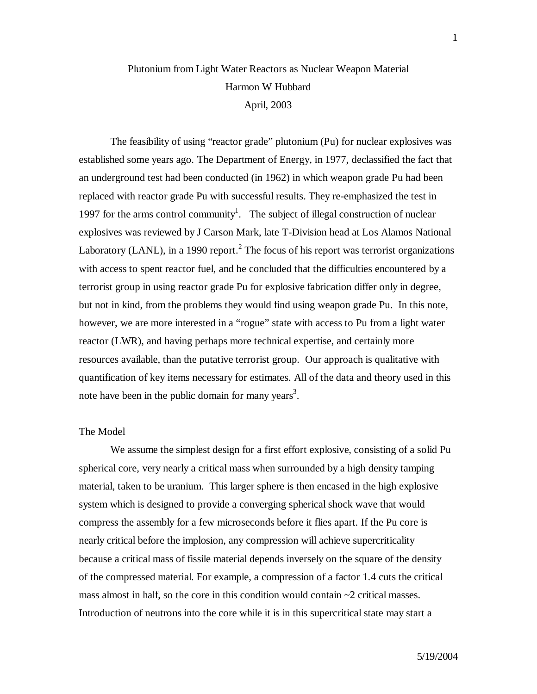# Plutonium from Light Water Reactors as Nuclear Weapon Material Harmon W Hubbard April, 2003

The feasibility of using "reactor grade" plutonium (Pu) for nuclear explosives was established some years ago. The Department of Energy, in 1977, declassified the fact that an underground test had been conducted (in 1962) in which weapon grade Pu had been replaced with reactor grade Pu with successful results. They re-emphasized the test in 1997 for the arms control community<sup>1</sup>. The subject of illegal construction of nuclear explosives was reviewed by J Carson Mark, late T-Division head at Los Alamos National Laboratory (LANL), in a 1990 report.<sup>2</sup> The focus of his report was terrorist organizations with access to spent reactor fuel, and he concluded that the difficulties encountered by a terrorist group in using reactor grade Pu for explosive fabrication differ only in degree, but not in kind, from the problems they would find using weapon grade Pu. In this note, however, we are more interested in a "rogue" state with access to Pu from a light water reactor (LWR), and having perhaps more technical expertise, and certainly more resources available, than the putative terrorist group. Our approach is qualitative with quantification of key items necessary for estimates. All of the data and theory used in this note have been in the public domain for many years<sup>3</sup>.

## The Model

We assume the simplest design for a first effort explosive, consisting of a solid Pu spherical core, very nearly a critical mass when surrounded by a high density tamping material, taken to be uranium. This larger sphere is then encased in the high explosive system which is designed to provide a converging spherical shock wave that would compress the assembly for a few microseconds before it flies apart. If the Pu core is nearly critical before the implosion, any compression will achieve supercriticality because a critical mass of fissile material depends inversely on the square of the density of the compressed material. For example, a compression of a factor 1.4 cuts the critical mass almost in half, so the core in this condition would contain  $\sim$ 2 critical masses. Introduction of neutrons into the core while it is in this supercritical state may start a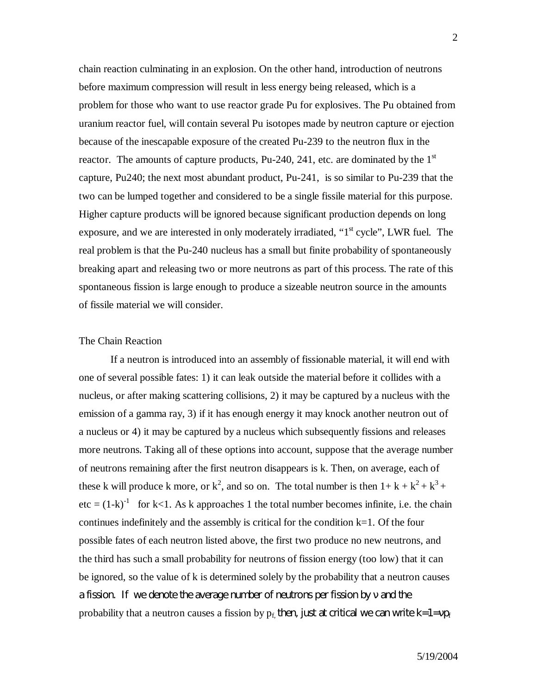chain reaction culminating in an explosion. On the other hand, introduction of neutrons before maximum compression will result in less energy being released, which is a problem for those who want to use reactor grade Pu for explosives. The Pu obtained from uranium reactor fuel, will contain several Pu isotopes made by neutron capture or ejection because of the inescapable exposure of the created Pu-239 to the neutron flux in the reactor. The amounts of capture products, Pu-240, 241, etc. are dominated by the  $1<sup>st</sup>$ capture, Pu240; the next most abundant product, Pu-241, is so similar to Pu-239 that the two can be lumped together and considered to be a single fissile material for this purpose. Higher capture products will be ignored because significant production depends on long exposure, and we are interested in only moderately irradiated, "1<sup>st</sup> cycle", LWR fuel. The real problem is that the Pu-240 nucleus has a small but finite probability of spontaneously breaking apart and releasing two or more neutrons as part of this process. The rate of this spontaneous fission is large enough to produce a sizeable neutron source in the amounts of fissile material we will consider.

#### The Chain Reaction

If a neutron is introduced into an assembly of fissionable material, it will end with one of several possible fates: 1) it can leak outside the material before it collides with a nucleus, or after making scattering collisions, 2) it may be captured by a nucleus with the emission of a gamma ray, 3) if it has enough energy it may knock another neutron out of a nucleus or 4) it may be captured by a nucleus which subsequently fissions and releases more neutrons. Taking all of these options into account, suppose that the average number of neutrons remaining after the first neutron disappears is k. Then, on average, each of these k will produce k more, or  $k^2$ , and so on. The total number is then  $1 + k + k^2 + k^3 + k^4$ etc =  $(1-k)^{-1}$  for k<1. As k approaches 1 the total number becomes infinite, i.e. the chain continues indefinitely and the assembly is critical for the condition k=1. Of the four possible fates of each neutron listed above, the first two produce no new neutrons, and the third has such a small probability for neutrons of fission energy (too low) that it can be ignored, so the value of k is determined solely by the probability that a neutron causes a fission. If we denote the average number of neutrons per fission by and the probability that a neutron causes a fission by  $p_f$  then, just at critical we can write k=1=  $p_f$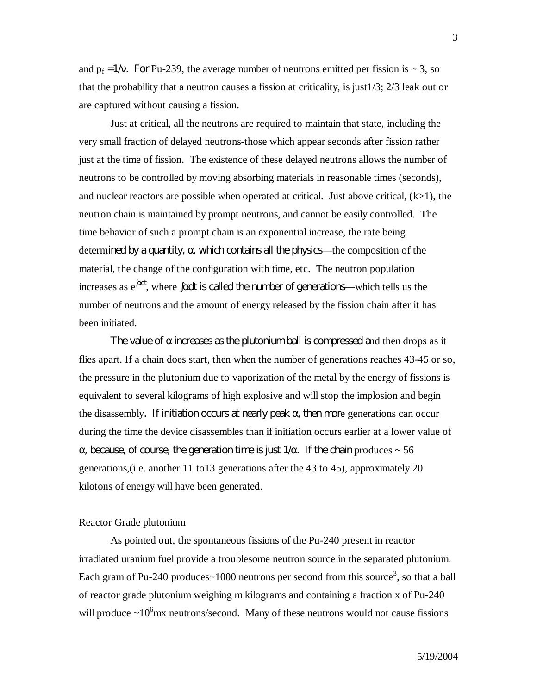and  $p_f = 1/$ . For Pu-239, the average number of neutrons emitted per fission is  $\sim 3$ , so that the probability that a neutron causes a fission at criticality, is just1/3; 2/3 leak out or are captured without causing a fission.

Just at critical, all the neutrons are required to maintain that state, including the very small fraction of delayed neutrons-those which appear seconds after fission rather just at the time of fission. The existence of these delayed neutrons allows the number of neutrons to be controlled by moving absorbing materials in reasonable times (seconds), and nuclear reactors are possible when operated at critical. Just above critical,  $(k>1)$ , the neutron chain is maintained by prompt neutrons, and cannot be easily controlled. The time behavior of such a prompt chain is an exponential increase, the rate being determined by a quantity, , which contains all the physics—the composition of the material, the change of the configuration with time, etc. The neutron population increases as  $e^{d\theta}$ , where  $\theta$  dt is called the number of generations—which tells us the number of neutrons and the amount of energy released by the fission chain after it has been initiated.

The value of increases as the plutonium ball is compressed and then drops as it flies apart. If a chain does start, then when the number of generations reaches 43-45 or so, the pressure in the plutonium due to vaporization of the metal by the energy of fissions is equivalent to several kilograms of high explosive and will stop the implosion and begin the disassembly. If initiation occurs at nearly peak, then more generations can occur during the time the device disassembles than if initiation occurs earlier at a lower value of

, because, of course, the generation time is just  $1/$  . If the chain produces  $\sim 56$ generations,(i.e. another 11 to13 generations after the 43 to 45), approximately 20 kilotons of energy will have been generated.

#### Reactor Grade plutonium

As pointed out, the spontaneous fissions of the Pu-240 present in reactor irradiated uranium fuel provide a troublesome neutron source in the separated plutonium. Each gram of Pu-240 produces~1000 neutrons per second from this source<sup>3</sup>, so that a ball of reactor grade plutonium weighing m kilograms and containing a fraction x of Pu-240 will produce  $\sim 10^6$  mx neutrons/second. Many of these neutrons would not cause fissions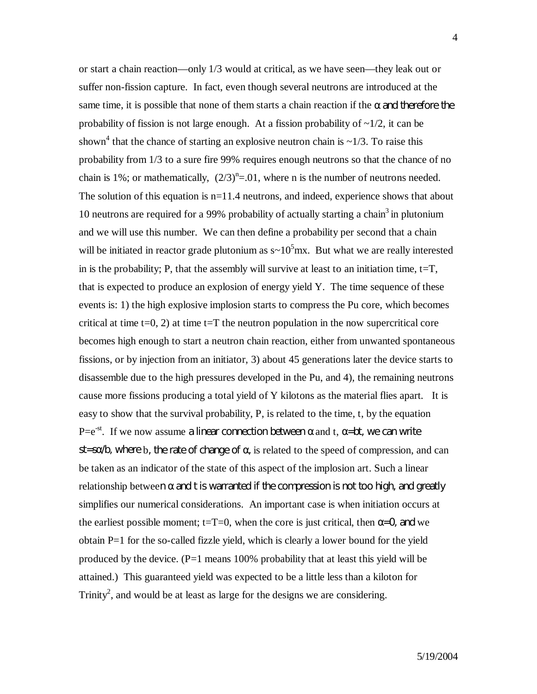or start a chain reaction—only 1/3 would at critical, as we have seen—they leak out or suffer non-fission capture. In fact, even though several neutrons are introduced at the same time, it is possible that none of them starts a chain reaction if the and therefore the probability of fission is not large enough. At a fission probability of  $\sim 1/2$ , it can be shown<sup>4</sup> that the chance of starting an explosive neutron chain is  $\sim$ 1/3. To raise this probability from 1/3 to a sure fire 99% requires enough neutrons so that the chance of no chain is 1%; or mathematically,  $(2/3)^n = 0.01$ , where n is the number of neutrons needed. The solution of this equation is  $n=11.4$  neutrons, and indeed, experience shows that about 10 neutrons are required for a 99% probability of actually starting a chain<sup>3</sup> in plutonium and we will use this number. We can then define a probability per second that a chain will be initiated in reactor grade plutonium as  $s \sim 10^5$  mx. But what we are really interested in is the probability; P, that the assembly will survive at least to an initiation time,  $t=T$ , that is expected to produce an explosion of energy yield Y. The time sequence of these events is: 1) the high explosive implosion starts to compress the Pu core, which becomes critical at time  $t=0, 2$ ) at time  $t=T$  the neutron population in the now supercritical core becomes high enough to start a neutron chain reaction, either from unwanted spontaneous fissions, or by injection from an initiator, 3) about 45 generations later the device starts to disassemble due to the high pressures developed in the Pu, and 4), the remaining neutrons cause more fissions producing a total yield of Y kilotons as the material flies apart. It is easy to show that the survival probability, P, is related to the time, t, by the equation  $P=e^{-st}$ . If we now assume a linear connection between and t,  $=$ bt, we can write st=s  $\Delta$ , where b, the rate of change of, is related to the speed of compression, and can be taken as an indicator of the state of this aspect of the implosion art. Such a linear relationship between and t is warranted if the compression is not too high, and greatly simplifies our numerical considerations. An important case is when initiation occurs at the earliest possible moment;  $t=T=0$ , when the core is just critical, then  $=Q$  and we obtain P=1 for the so-called fizzle yield, which is clearly a lower bound for the yield produced by the device.  $(P=1 \text{ means } 100\% \text{ probability that at least this yield will be }$ attained.) This guaranteed yield was expected to be a little less than a kiloton for Trinity<sup>2</sup>, and would be at least as large for the designs we are considering.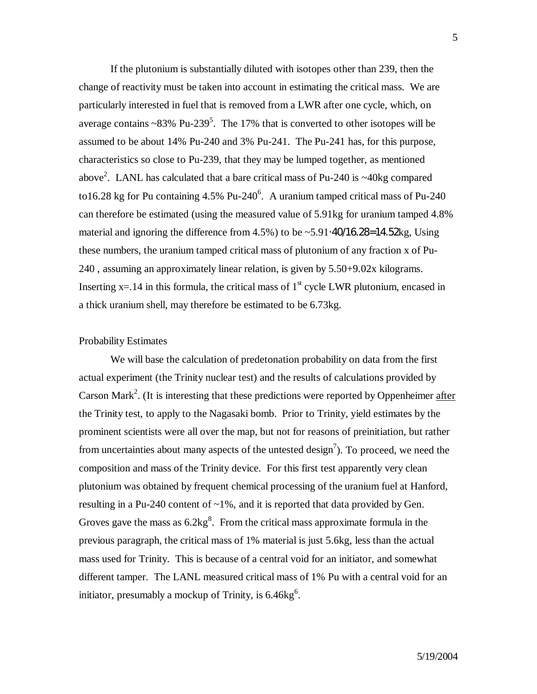If the plutonium is substantially diluted with isotopes other than 239, then the change of reactivity must be taken into account in estimating the critical mass. We are particularly interested in fuel that is removed from a LWR after one cycle, which, on average contains  $\sim 83\%$  Pu-239<sup>5</sup>. The 17% that is converted to other isotopes will be assumed to be about 14% Pu-240 and 3% Pu-241. The Pu-241 has, for this purpose, characteristics so close to Pu-239, that they may be lumped together, as mentioned above<sup>2</sup>. LANL has calculated that a bare critical mass of Pu-240 is  $\sim$ 40kg compared to16.28 kg for Pu containing  $4.5\%$  Pu-240<sup>6</sup>. A uranium tamped critical mass of Pu-240 can therefore be estimated (using the measured value of 5.91kg for uranium tamped 4.8% material and ignoring the difference from  $4.5\%$ ) to be ~5.91 $\cdot$ 40 $\cdot$ 16.28 = 14.52kg, Using these numbers, the uranium tamped critical mass of plutonium of any fraction x of Pu-240 , assuming an approximately linear relation, is given by 5.50+9.02x kilograms. Inserting  $x=14$  in this formula, the critical mass of 1<sup>st</sup> cycle LWR plutonium, encased in a thick uranium shell, may therefore be estimated to be 6.73kg.

#### Probability Estimates

We will base the calculation of predetonation probability on data from the first actual experiment (the Trinity nuclear test) and the results of calculations provided by Carson Mark<sup>2</sup>. (It is interesting that these predictions were reported by Oppenheimer after the Trinity test, to apply to the Nagasaki bomb. Prior to Trinity, yield estimates by the prominent scientists were all over the map, but not for reasons of preinitiation, but rather from uncertainties about many aspects of the untested design<sup>7</sup>). To proceed, we need the composition and mass of the Trinity device. For this first test apparently very clean plutonium was obtained by frequent chemical processing of the uranium fuel at Hanford, resulting in a Pu-240 content of  $\sim$ 1%, and it is reported that data provided by Gen. Groves gave the mass as  $6.2 \text{kg}^8$ . From the critical mass approximate formula in the previous paragraph, the critical mass of 1% material is just 5.6kg, less than the actual mass used for Trinity. This is because of a central void for an initiator, and somewhat different tamper. The LANL measured critical mass of 1% Pu with a central void for an initiator, presumably a mockup of Trinity, is  $6.46\text{kg}^6$ .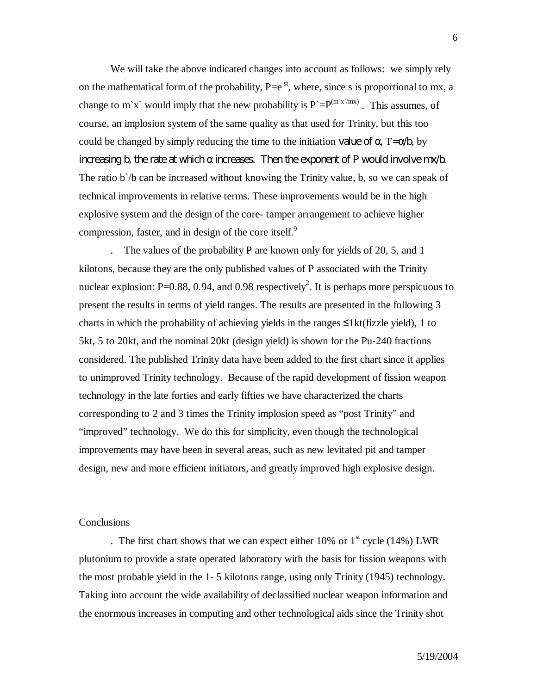We will take the above indicated changes into account as follows: we simply rely on the mathematical form of the probability,  $P=e^{-st}$ , where, since s is proportional to mx, a change to m'x' would imply that the new probability is  $P = P^{(m'x'/mx)}$ . This assumes, of course, an implosion system of the same quality as that used for Trinity, but this too could be changed by simply reducing the time to the initiation value of  $\theta$ , T=  $\Delta$ , by increasing b, the rate at which increases. Then the exponent of P would involve mx/b. The ratio b'/b can be increased without knowing the Trinity value, b, so we can speak of technical improvements in relative terms. These improvements would be in the high explosive system and the design of the core- tamper arrangement to achieve higher compression, faster, and in design of the core itself.<sup>9</sup>

. The values of the probability P are known only for yields of 20, 5, and 1 kilotons, because they are the only published values of P associated with the Trinity nuclear explosion: P=0.88, 0.94, and 0.98 respectively<sup>2</sup>. It is perhaps more perspicuous to present the results in terms of yield ranges. The results are presented in the following 3 charts in which the probability of achieving yields in the ranges  $\leq$ 1kt(fizzle yield), 1 to 5kt, 5 to 20kt, and the nominal 20kt (design yield) is shown for the Pu-240 fractions considered. The published Trinity data have been added to the first chart since it applies to unimproved Trinity technology. Because of the rapid development of fission weapon technology in the late forties and early fifties we have characterized the charts corresponding to 2 and 3 times the Trinity implosion speed as "post Trinity" and "improved" technology. We do this for simplicity, even though the technological improvements may have been in several areas, such as new levitated pit and tamper design, new and more efficient initiators, and greatly improved high explosive design.

## **Conclusions**

. The first chart shows that we can expect either 10% or  $1<sup>st</sup>$  cycle (14%) LWR plutonium to provide a state operated laboratory with the basis for fission weapons with the most probable yield in the 1- 5 kilotons range, using only Trinity (1945) technology. Taking into account the wide availability of declassified nuclear weapon information and the enormous increases in computing and other technological aids since the Trinity shot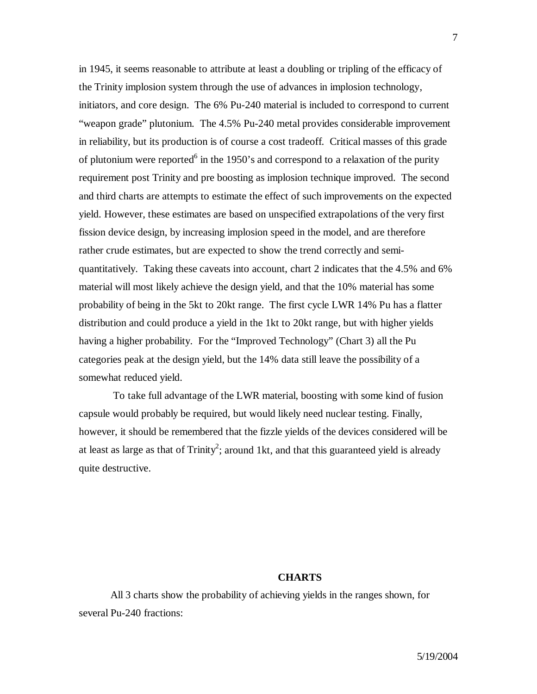in 1945, it seems reasonable to attribute at least a doubling or tripling of the efficacy of the Trinity implosion system through the use of advances in implosion technology, initiators, and core design. The 6% Pu-240 material is included to correspond to current "weapon grade" plutonium. The 4.5% Pu-240 metal provides considerable improvement in reliability, but its production is of course a cost tradeoff. Critical masses of this grade of plutonium were reported<sup>6</sup> in the 1950's and correspond to a relaxation of the purity requirement post Trinity and pre boosting as implosion technique improved. The second and third charts are attempts to estimate the effect of such improvements on the expected yield. However, these estimates are based on unspecified extrapolations of the very first fission device design, by increasing implosion speed in the model, and are therefore rather crude estimates, but are expected to show the trend correctly and semiquantitatively. Taking these caveats into account, chart 2 indicates that the 4.5% and 6% material will most likely achieve the design yield, and that the 10% material has some probability of being in the 5kt to 20kt range. The first cycle LWR 14% Pu has a flatter distribution and could produce a yield in the 1kt to 20kt range, but with higher yields having a higher probability. For the "Improved Technology" (Chart 3) all the Pu categories peak at the design yield, but the 14% data still leave the possibility of a somewhat reduced yield.

 To take full advantage of the LWR material, boosting with some kind of fusion capsule would probably be required, but would likely need nuclear testing. Finally, however, it should be remembered that the fizzle yields of the devices considered will be at least as large as that of Trinity<sup>2</sup>; around 1kt, and that this guaranteed yield is already quite destructive.

## **CHARTS**

All 3 charts show the probability of achieving yields in the ranges shown, for several Pu-240 fractions: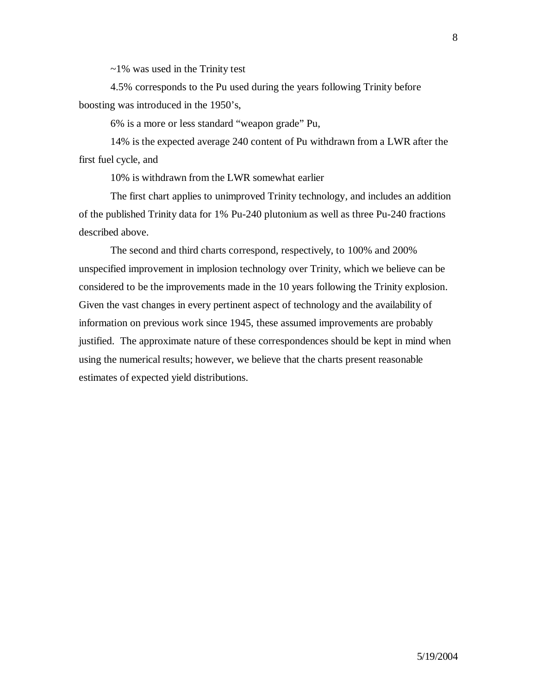$\sim$ 1% was used in the Trinity test

4.5% corresponds to the Pu used during the years following Trinity before boosting was introduced in the 1950's,

6% is a more or less standard "weapon grade" Pu,

14% is the expected average 240 content of Pu withdrawn from a LWR after the first fuel cycle, and

10% is withdrawn from the LWR somewhat earlier

The first chart applies to unimproved Trinity technology, and includes an addition of the published Trinity data for 1% Pu-240 plutonium as well as three Pu-240 fractions described above.

The second and third charts correspond, respectively, to 100% and 200% unspecified improvement in implosion technology over Trinity, which we believe can be considered to be the improvements made in the 10 years following the Trinity explosion. Given the vast changes in every pertinent aspect of technology and the availability of information on previous work since 1945, these assumed improvements are probably justified. The approximate nature of these correspondences should be kept in mind when using the numerical results; however, we believe that the charts present reasonable estimates of expected yield distributions.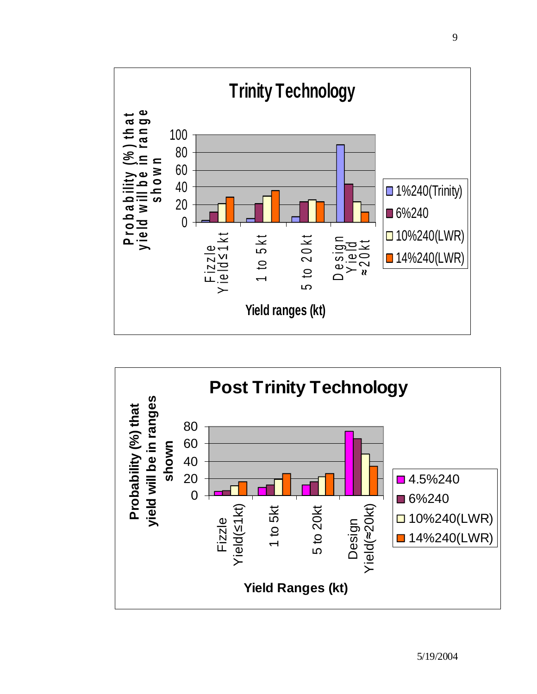

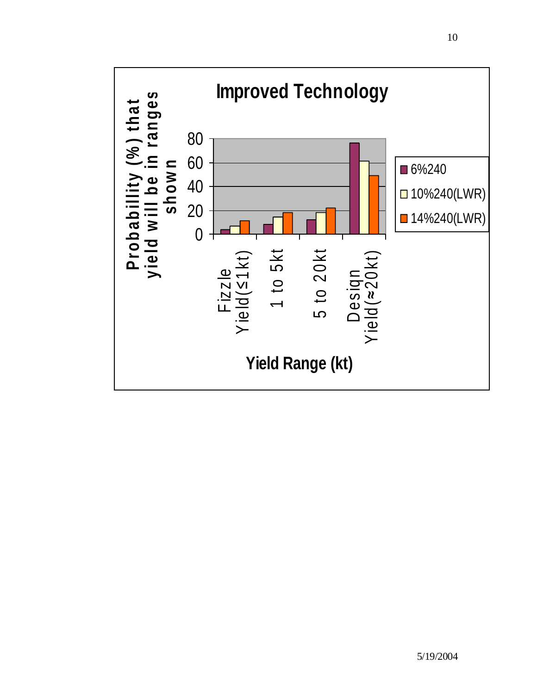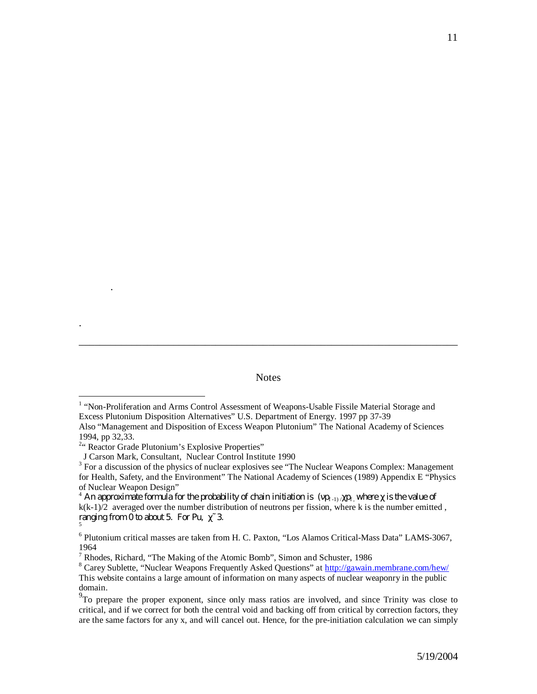**Notes** 

\_\_\_\_\_\_\_\_\_\_\_\_\_\_\_\_\_\_\_\_\_\_\_\_\_\_\_\_\_\_\_\_\_\_\_\_\_\_\_\_\_\_\_\_\_\_\_\_\_\_\_\_\_\_\_\_\_\_\_\_\_\_\_\_\_\_\_\_\_\_\_\_

.

.

 $\overline{a}$ 

<sup>&</sup>lt;sup>1</sup> "Non-Proliferation and Arms Control Assessment of Weapons-Usable Fissile Material Storage and Excess Plutonium Disposition Alternatives" U.S. Department of Energy. 1997 pp 37-39 Also "Management and Disposition of Excess Weapon Plutonium" The National Academy of Sciences

<sup>1994,</sup> pp 32,33.

<sup>&</sup>lt;sup>2</sup>" Reactor Grade Plutonium's Explosive Properties"

J Carson Mark, Consultant, Nuclear Control Institute 1990

 $3$  For a discussion of the physics of nuclear explosives see "The Nuclear Weapons Complex: Management for Health, Safety, and the Environment" The National Academy of Sciences (1989) Appendix E "Physics of Nuclear Weapon Design"

 $^4$  An approximate formula for the probability of chain initiation is (  ${\rm p_{\pm 1)/}}$   ${\rm p_{\pm}}$  where  $^{-}$  is the value of  $k(k-1)/2$  averaged over the number distribution of neutrons per fission, where k is the number emitted, ranging from  $0$  to about 5. For Pu,  $3$ . 5

<sup>&</sup>lt;sup>6</sup> Plutonium critical masses are taken from H. C. Paxton, "Los Alamos Critical-Mass Data" LAMS-3067, 1964

<sup>&</sup>lt;sup>7</sup> Rhodes, Richard, "The Making of the Atomic Bomb", Simon and Schuster, 1986

<sup>&</sup>lt;sup>8</sup> Carey Sublette, "Nuclear Weapons Frequently Asked Questions" at http://gawain.membrane.com/hew/ This website contains a large amount of information on many aspects of nuclear weaponry in the public domain.

 $9^9$ To prepare the proper exponent, since only mass ratios are involved, and since Trinity was close to critical, and if we correct for both the central void and backing off from critical by correction factors, they are the same factors for any x, and will cancel out. Hence, for the pre-initiation calculation we can simply